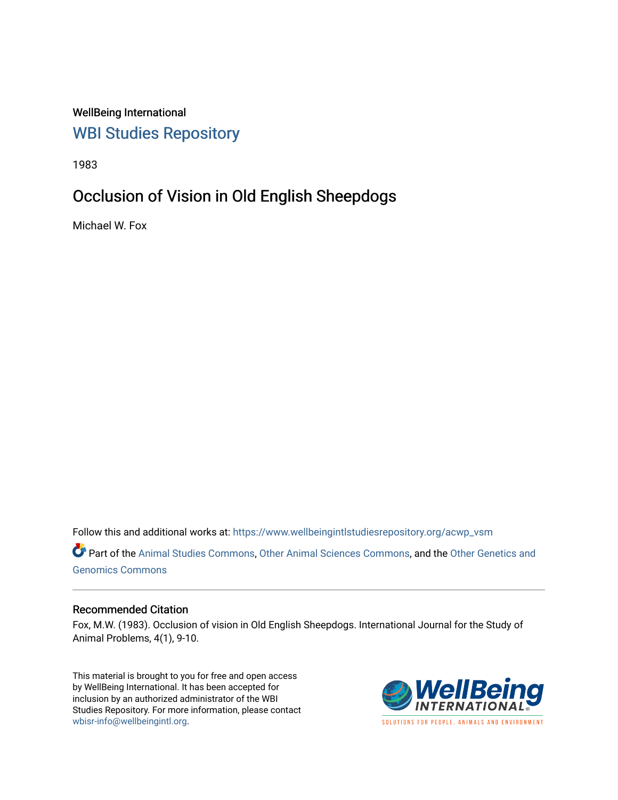WellBeing International [WBI Studies Repository](https://www.wellbeingintlstudiesrepository.org/)

1983

## Occlusion of Vision in Old English Sheepdogs

Michael W. Fox

Follow this and additional works at: [https://www.wellbeingintlstudiesrepository.org/acwp\\_vsm](https://www.wellbeingintlstudiesrepository.org/acwp_vsm?utm_source=www.wellbeingintlstudiesrepository.org%2Facwp_vsm%2F8&utm_medium=PDF&utm_campaign=PDFCoverPages) 

Part of the [Animal Studies Commons,](http://network.bepress.com/hgg/discipline/1306?utm_source=www.wellbeingintlstudiesrepository.org%2Facwp_vsm%2F8&utm_medium=PDF&utm_campaign=PDFCoverPages) [Other Animal Sciences Commons](http://network.bepress.com/hgg/discipline/82?utm_source=www.wellbeingintlstudiesrepository.org%2Facwp_vsm%2F8&utm_medium=PDF&utm_campaign=PDFCoverPages), and the Other Genetics and [Genomics Commons](http://network.bepress.com/hgg/discipline/32?utm_source=www.wellbeingintlstudiesrepository.org%2Facwp_vsm%2F8&utm_medium=PDF&utm_campaign=PDFCoverPages) 

## Recommended Citation

Fox, M.W. (1983). Occlusion of vision in Old English Sheepdogs. International Journal for the Study of Animal Problems, 4(1), 9-10.

This material is brought to you for free and open access by WellBeing International. It has been accepted for inclusion by an authorized administrator of the WBI Studies Repository. For more information, please contact [wbisr-info@wellbeingintl.org](mailto:wbisr-info@wellbeingintl.org).



SOLUTIONS FOR PEOPLE. ANIMALS AND ENVIRONMENT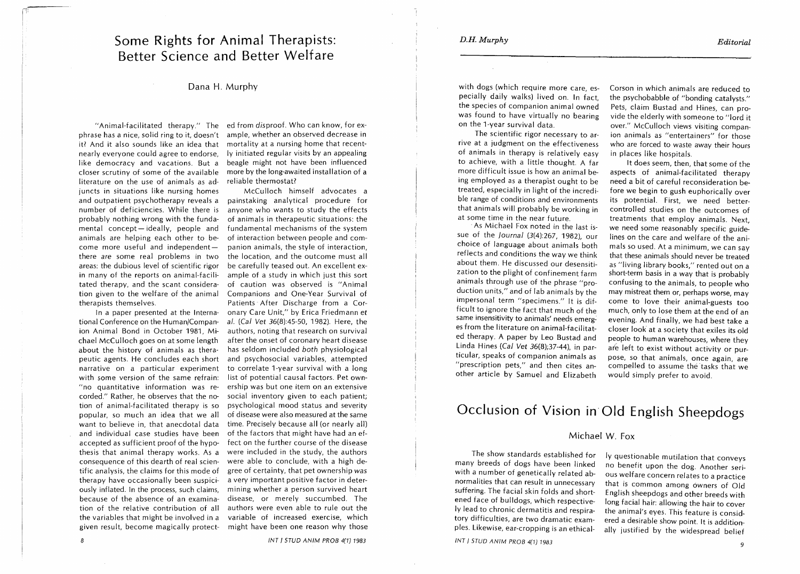I

with dogs (which require more care, especially daily walks) lived on. In fact, the species of companion animal owned was found to have virtually no bearing on the 1-year survival data.

The scientific rigor necessary to arrive at a judgment on the effectiveness of animals in therapy is relatively easy to achieve, with a little thought. A far more difficult issue is how an animal being employed as a therap'ist ought to be treated, especially in light of the incredible range of conditions and environments that animals will probably be working in at some time in the near future.

-As Michael Fox noted in the last issue of the journal (3(4):267, 1982), our choice of language about animals both reflects and conditions the way we think about them. He discussed our desensitization to the plight of confinement farm animals through use of the phrase "production units," and of lab animals by the impersonal term "specimens." It is difficult to ignore the fact that much of the same insensitivity to animals' needs emerges from the literature on animal-facilitated therapy. A paper by Leo Bustad and Linda Hines (Cal Vet 36(8);37-44), in particular, speaks of companion animals as "prescription pets," and then cites another article by Samuel and Elizabeth

Corson in which animals are reduced to the psychobabble of "bonding catalysts." Pets, claim Bustad and Hines, can provide the elderly with someone to "lord it over." McCulloch views visiting companion animals as "entertainers" for those who are forced to waste away their hours in places like hospitals.

It does seem, then, that some of the aspects of animal-facilitated therapy need a bit of careful reconsideration before we begin to gush euphorically over its potential. First, we need bettercontrolled studies on the outcomes of treatments that employ animals. Next, we need some reasonably specific guidelines on the care and welfare of the animals so used. At a minimum, we can say that these animals should never be treated as "living library books," rented out on a short-term basis in a way that is probably confusing to the animals, to people who may mistreat them or, perhaps worse, may come to love their animal-guests too much, only to lose them at the end of an evening. And finally, we had best take a closer look at a society that exiles its old people to human warehouses, where they are left to exist without activity or purpose, so that animals, once again, are compelled to assume the tasks that we would simply prefer to avoid.

## **Occlusion of Vision in Old English Sheepdogs**

## Michael W. Fox

The show standards established for many breeds of dogs have been linked with a number of genetically related abnormalities that can result in unnecessary suffering. The facial skin folds and shortened face of bulldogs, which respectively lead to chronic dermatitis and respiratory difficulties, are two dramatic examples. Likewise, ear-cropping is an ethicai-

ly questionable mutilation that conveys no benefit upon the dog. Another serious welfare concern relates to a practice that is common among owners of Old English sheepdogs and other breeds with long facial hair: allowing the hair to cover the animal's eyes. This feature is considered a desirable show point. It is additionally justified by the widespread belief